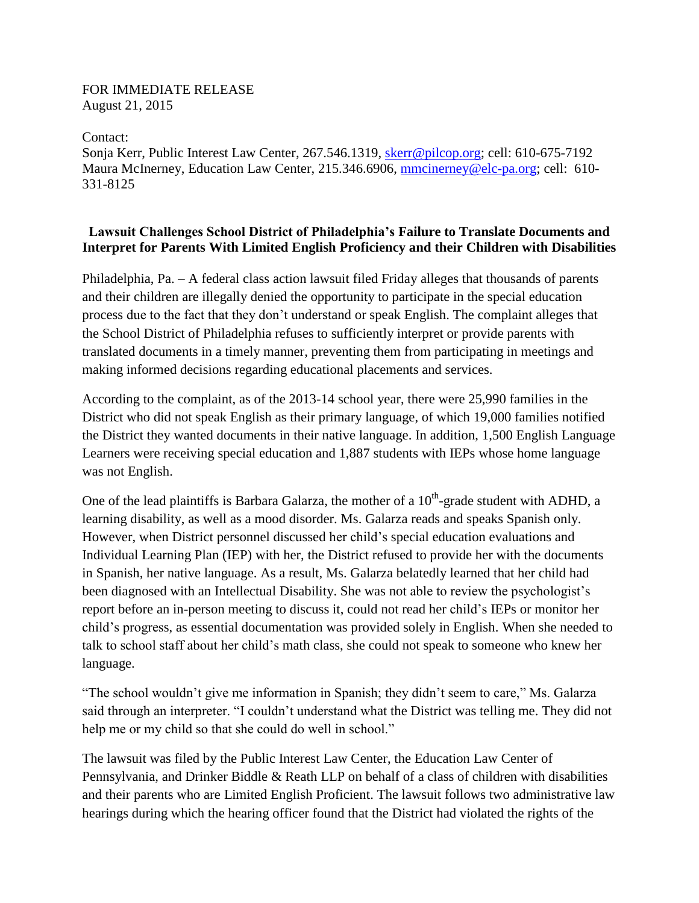## FOR IMMEDIATE RELEASE August 21, 2015

Contact:

Sonja Kerr, Public Interest Law Center, 267.546.1319, [skerr@pilcop.org;](mailto:skerr@pilcop.org) cell: 610-675-7192 Maura McInerney, Education Law Center, 215.346.6906, [mmcinerney@elc-pa.org;](mailto:mmcinerney@elc-pa.org) cell: 610- 331-8125

## **Lawsuit Challenges School District of Philadelphia's Failure to Translate Documents and Interpret for Parents With Limited English Proficiency and their Children with Disabilities**

Philadelphia, Pa. – A federal class action lawsuit filed Friday alleges that thousands of parents and their children are illegally denied the opportunity to participate in the special education process due to the fact that they don't understand or speak English. The complaint alleges that the School District of Philadelphia refuses to sufficiently interpret or provide parents with translated documents in a timely manner, preventing them from participating in meetings and making informed decisions regarding educational placements and services.

According to the complaint, as of the 2013-14 school year, there were 25,990 families in the District who did not speak English as their primary language, of which 19,000 families notified the District they wanted documents in their native language. In addition, 1,500 English Language Learners were receiving special education and 1,887 students with IEPs whose home language was not English.

One of the lead plaintiffs is Barbara Galarza, the mother of a  $10^{th}$ -grade student with ADHD, a learning disability, as well as a mood disorder. Ms. Galarza reads and speaks Spanish only. However, when District personnel discussed her child's special education evaluations and Individual Learning Plan (IEP) with her, the District refused to provide her with the documents in Spanish, her native language. As a result, Ms. Galarza belatedly learned that her child had been diagnosed with an Intellectual Disability. She was not able to review the psychologist's report before an in-person meeting to discuss it, could not read her child's IEPs or monitor her child's progress, as essential documentation was provided solely in English. When she needed to talk to school staff about her child's math class, she could not speak to someone who knew her language.

"The school wouldn't give me information in Spanish; they didn't seem to care," Ms. Galarza said through an interpreter. "I couldn't understand what the District was telling me. They did not help me or my child so that she could do well in school."

The lawsuit was filed by the Public Interest Law Center, the Education Law Center of Pennsylvania, and Drinker Biddle & Reath LLP on behalf of a class of children with disabilities and their parents who are Limited English Proficient. The lawsuit follows two administrative law hearings during which the hearing officer found that the District had violated the rights of the